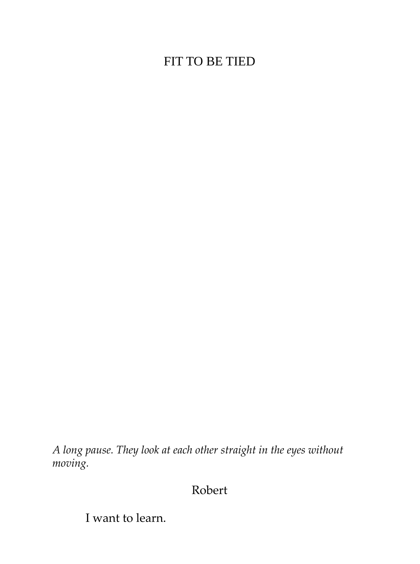# FIT TO BE TIED

*A long pause. They look at each other straight in the eyes without moving.*

Robert

I want to learn.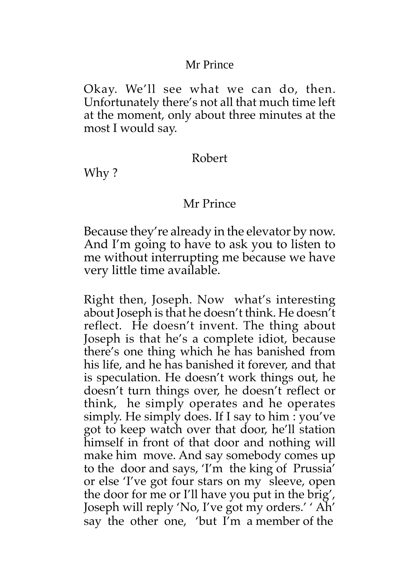### Mr Prince

Okay. We'll see what we can do, then. Unfortunately there's not all that much time left at the moment, only about three minutes at the most I would say.

#### Robert

Why ?

### Mr Prince

Because they're already in the elevator by now. And I'm going to have to ask you to listen to me without interrupting me because we have very little time available.

Right then, Joseph. Now what's interesting about Joseph is that he doesn't think. He doesn't reflect. He doesn't invent. The thing about Joseph is that he's a complete idiot, because there's one thing which he has banished from his life, and he has banished it forever, and that is speculation. He doesn't work things out, he doesn't turn things over, he doesn't reflect or think, he simply operates and he operates simply. He simply does. If I say to him : you've got to keep watch over that door, he'll station himself in front of that door and nothing will make him move. And say somebody comes up to the door and says, 'I'm the king of Prussia' or else 'I've got four stars on my sleeve, open the door for me or I'll have you put in the brig', Joseph will reply 'No, I've got my orders.' ' Ah' say the other one, 'but I'm a member of the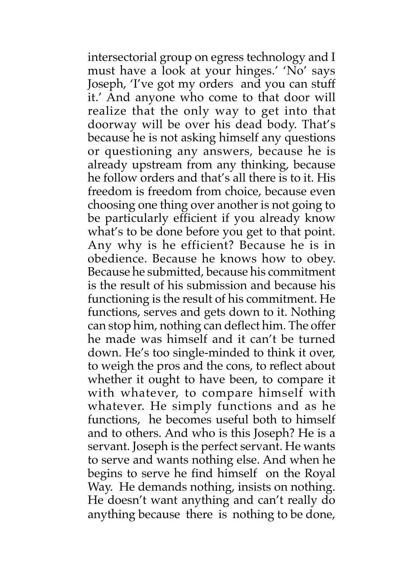intersectorial group on egress technology and I must have a look at your hinges.' 'No' says Joseph, 'I've got my orders and you can stuff it.' And anyone who come to that door will realize that the only way to get into that doorway will be over his dead body. That's because he is not asking himself any questions or questioning any answers, because he is already upstream from any thinking, because he follow orders and that's all there is to it. His freedom is freedom from choice, because even choosing one thing over another is not going to be particularly efficient if you already know what's to be done before you get to that point. Any why is he efficient? Because he is in obedience. Because he knows how to obey. Because he submitted, because his commitment is the result of his submission and because his functioning is the result of his commitment. He functions, serves and gets down to it. Nothing can stop him, nothing can deflect him. The offer he made was himself and it can't be turned down. He's too single-minded to think it over, to weigh the pros and the cons, to reflect about whether it ought to have been, to compare it with whatever, to compare himself with whatever. He simply functions and as he functions, he becomes useful both to himself and to others. And who is this Joseph? He is a servant. Joseph is the perfect servant. He wants to serve and wants nothing else. And when he begins to serve he find himself on the Royal Way. He demands nothing, insists on nothing. He doesn't want anything and can't really do anything because there is nothing to be done,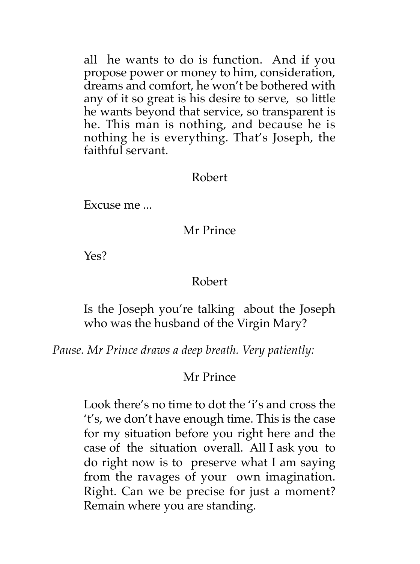all he wants to do is function. And if you propose power or money to him, consideration, dreams and comfort, he won't be bothered with any of it so great is his desire to serve, so little he wants beyond that service, so transparent is he. This man is nothing, and because he is nothing he is everything. That's Joseph, the faithful servant.

#### Robert

Excuse me ...

#### Mr Prince

Yes?

#### Robert

Is the Joseph you're talking about the Joseph who was the husband of the Virgin Mary?

*Pause. Mr Prince draws a deep breath. Very patiently:*

#### Mr Prince

Look there's no time to dot the 'i's and cross the 't's, we don't have enough time. This is the case for my situation before you right here and the case of the situation overall. All I ask you to do right now is to preserve what I am saying from the ravages of your own imagination. Right. Can we be precise for just a moment? Remain where you are standing.